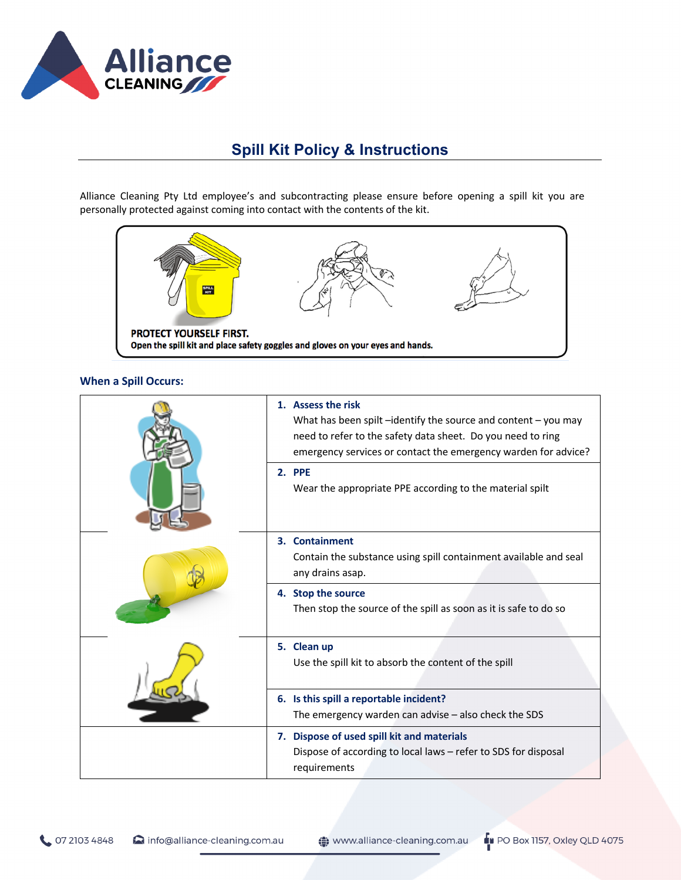

## **Spill Kit Policy & Instructions**

Alliance Cleaning Pty Ltd employee's and subcontracting please ensure before opening a spill kit you are personally protected against coming into contact with the contents of the kit.



## **When a Spill Occurs:**

|  | 1. Assess the risk<br>What has been spilt $-$ identify the source and content $-$ you may<br>need to refer to the safety data sheet. Do you need to ring<br>emergency services or contact the emergency warden for advice? |
|--|----------------------------------------------------------------------------------------------------------------------------------------------------------------------------------------------------------------------------|
|  | 2. PPE<br>Wear the appropriate PPE according to the material spilt                                                                                                                                                         |
|  | <b>Containment</b><br>3.<br>Contain the substance using spill containment available and seal<br>any drains asap.                                                                                                           |
|  | <b>Stop the source</b><br>4.<br>Then stop the source of the spill as soon as it is safe to do so                                                                                                                           |
|  | 5. Clean up<br>Use the spill kit to absorb the content of the spill                                                                                                                                                        |
|  | 6. Is this spill a reportable incident?<br>The emergency warden can advise $-$ also check the SDS                                                                                                                          |
|  | 7. Dispose of used spill kit and materials<br>Dispose of according to local laws - refer to SDS for disposal<br>requirements                                                                                               |